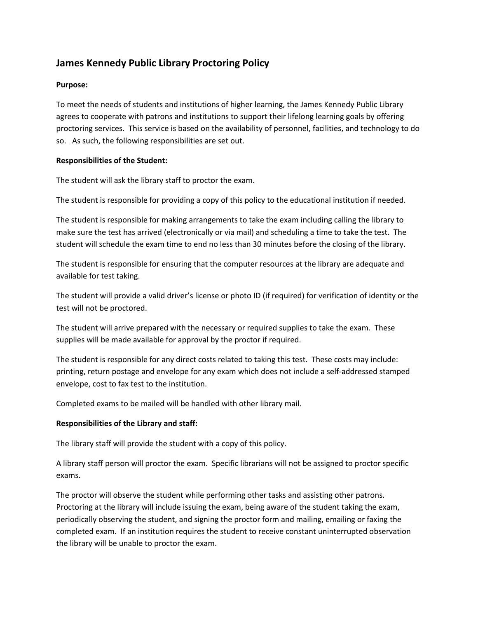## **James Kennedy Public Library Proctoring Policy**

## **Purpose:**

To meet the needs of students and institutions of higher learning, the James Kennedy Public Library agrees to cooperate with patrons and institutions to support their lifelong learning goals by offering proctoring services. This service is based on the availability of personnel, facilities, and technology to do so. As such, the following responsibilities are set out.

## **Responsibilities of the Student:**

The student will ask the library staff to proctor the exam.

The student is responsible for providing a copy of this policy to the educational institution if needed.

The student is responsible for making arrangements to take the exam including calling the library to make sure the test has arrived (electronically or via mail) and scheduling a time to take the test. The student will schedule the exam time to end no less than 30 minutes before the closing of the library.

The student is responsible for ensuring that the computer resources at the library are adequate and available for test taking.

The student will provide a valid driver's license or photo ID (if required) for verification of identity or the test will not be proctored.

The student will arrive prepared with the necessary or required supplies to take the exam. These supplies will be made available for approval by the proctor if required.

The student is responsible for any direct costs related to taking this test. These costs may include: printing, return postage and envelope for any exam which does not include a self-addressed stamped envelope, cost to fax test to the institution.

Completed exams to be mailed will be handled with other library mail.

## **Responsibilities of the Library and staff:**

The library staff will provide the student with a copy of this policy.

A library staff person will proctor the exam. Specific librarians will not be assigned to proctor specific exams.

The proctor will observe the student while performing other tasks and assisting other patrons. Proctoring at the library will include issuing the exam, being aware of the student taking the exam, periodically observing the student, and signing the proctor form and mailing, emailing or faxing the completed exam. If an institution requires the student to receive constant uninterrupted observation the library will be unable to proctor the exam.